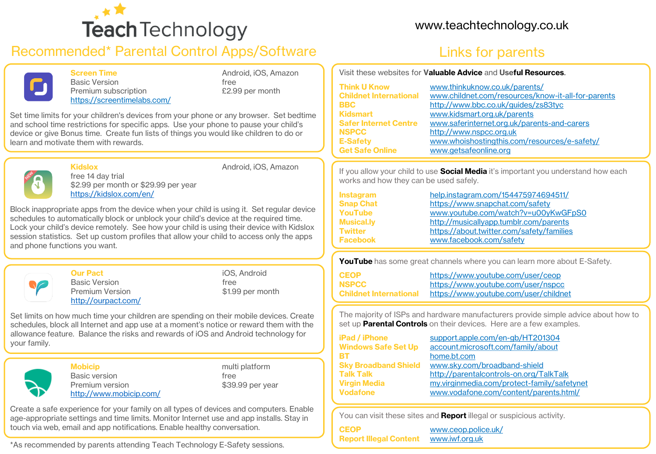

## Recommended\* Parental Control Apps/Software The Links for parents



Basic Version **free** Premium subscription **E2.99** per month <https://screentimelabs.com/>

Screen Time **Android, iOS, Amazon** 

Set time limits for your children's devices from your phone or any browser. Set bedtime and school time restrictions for specific apps. Use your phone to pause your child's device or give Bonus time. Create fun lists of things you would like children to do or learn and motivate them with rewards.



Kidslox **Android, iOS, Amazon** 

free 14 day trial \$2.99 per month or \$29.99 per year <https://kidslox.com/en/>

Block inappropriate apps from the device when your child is using it. Set regular device schedules to automatically block or unblock your child's device at the required time. Lock your child's device remotely. See how your child is using their device with Kidslox session statistics. Set up custom profiles that allow your child to access only the apps and phone functions you want.



**Our Pact iOS**, Android Basic Version **free** Premium Version  $$1.99$  per month <http://ourpact.com/>

Set limits on how much time your children are spending on their mobile devices. Create schedules, block all Internet and app use at a moment's notice or reward them with the allowance feature. Balance the risks and rewards of iOS and Android technology for your family.



**Mobicip multiplatform** Basic version and the state of the state of the state of the state of the state of the state of the state of the state of the state of the state of the state of the state of the state of the state of the state of the state Premium version  $$39.99$  per year <http://www.mobicip.com/>

Create a safe experience for your family on all types of devices and computers. Enable age-appropriate settings and time limits. Monitor Internet use and app installs. Stay in touch via web, email and app notifications. Enable healthy conversation.

\*As recommended by parents attending Teach Technology E-Safety sessions.

### [www.teachtechnology.co.uk](http://www.teachtechnology.co.uk/)

Visit these websites for Valuable Advice and Useful Resources.

| <b>Think U Know</b>           | www.thinkuknow.co.uk/parents/                      |
|-------------------------------|----------------------------------------------------|
| <b>Childnet International</b> | www.childnet.com/resources/know-it-all-for-parents |
| <b>BBC</b>                    | http://www.bbc.co.uk/guides/zs83tyc                |
| <b>Kidsmart</b>               | www.kidsmart.org.uk/parents                        |
| <b>Safer Internet Centre</b>  | www.saferinternet.org.uk/parents-and-carers        |
| <b>NSPCC</b>                  | http://www.nspcc.org.uk                            |
| <b>E-Safety</b>               | www.whoishostingthis.com/resources/e-safety/       |
| <b>Get Safe Online</b>        | www.getsafeonline.org                              |

If you allow your child to use **Social Media** it's important you understand how each works and how they can be used safely.

| <b>Instagram</b>  | help.instagram.com/154475974694511/       |
|-------------------|-------------------------------------------|
| <b>Snap Chat</b>  | https://www.snapchat.com/safety           |
| YouTube           | www.youtube.com/watch?v=u00yKwGFpS0       |
| <b>Musical.lv</b> | http://musicallyapp.tumblr.com/parents    |
| Twitter           | https://about.twitter.com/safety/families |
| <b>Facebook</b>   | www.facebook.com/safety                   |

YouTube has some great channels where you can learn more about E-Safety.

| <b>CEOP</b>                   | https://www.youtube.com/user/ceop     |
|-------------------------------|---------------------------------------|
| <b>NSPCC</b>                  | https://www.youtube.com/user/nspcc    |
| <b>Childnet International</b> | https://www.youtube.com/user/childnet |

The majority of ISPs and hardware manufacturers provide simple advice about how to set up **Parental Controls** on their devices. Here are a few examples.

| <b>iPad / iPhone</b>        | support.apple.com/en-gb/HT201304            |  |
|-----------------------------|---------------------------------------------|--|
| <b>Windows Safe Set Up</b>  | account.microsoft.com/family/about          |  |
| BТ                          | home.bt.com                                 |  |
| <b>Sky Broadband Shield</b> | www.sky.com/broadband-shield                |  |
| Talk Talk                   | http://parentalcontrols-on.org/TalkTalk     |  |
| Virgin Media                | my.virginmedia.com/protect-family/safetynet |  |
| Vodafone                    | www.vodafone.com/content/parents.html/      |  |

You can visit these sites and **Report** illegal or suspicious activity.

CEOP [www.ceop.police.uk/](http://www.ceop.police.uk/) Report Illegal Content [www.iwf.org.uk](http://www.iwf.org.uk/)